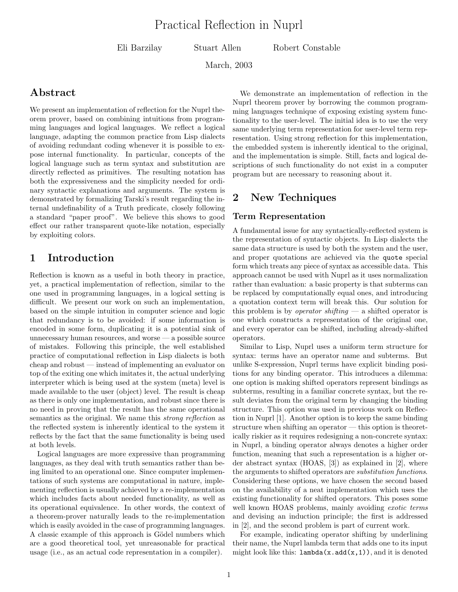Eli Barzilay Stuart Allen Robert Constable

March, 2003

### Abstract

We present an implementation of reflection for the Nuprl theorem prover, based on combining intuitions from programming languages and logical languages. We reflect a logical language, adapting the common practice from Lisp dialects of avoiding redundant coding whenever it is possible to expose internal functionality. In particular, concepts of the logical language such as term syntax and substitution are directly reflected as primitives. The resulting notation has both the expressiveness and the simplicity needed for ordinary syntactic explanations and arguments. The system is demonstrated by formalizing Tarski's result regarding the internal undefinability of a Truth predicate, closely following a standard "paper proof". We believe this shows to good effect our rather transparent quote-like notation, especially by exploiting colors.

## 1 Introduction

Reflection is known as a useful in both theory in practice, yet, a practical implementation of reflection, similar to the one used in programming languages, in a logical setting is difficult. We present our work on such an implementation, based on the simple intuition in computer science and logic that redundancy is to be avoided: if some information is encoded in some form, duplicating it is a potential sink of unnecessary human resources, and worse  $-$  a possible source of mistakes. Following this principle, the well established practice of computational reflection in Lisp dialects is both cheap and robust — instead of implementing an evaluator on top of the exiting one which imitates it, the actual underlying interpreter which is being used at the system (meta) level is made available to the user (object) level. The result is cheap as there is only one implementation, and robust since there is no need in proving that the result has the same operational semantics as the original. We name this *strong reflection* as the reflected system is inherently identical to the system it reflects by the fact that the same functionality is being used at both levels.

Logical languages are more expressive than programming languages, as they deal with truth semantics rather than being limited to an operational one. Since computer implementations of such systems are computational in nature, implementing reflection is usually achieved by a re-implementation which includes facts about needed functionality, as well as its operational equivalence. In other words, the context of a theorem-prover naturally leads to the re-implementation which is easily avoided in the case of programming languages. A classic example of this approach is Gödel numbers which are a good theoretical tool, yet unreasonable for practical usage (i.e., as an actual code representation in a compiler).

We demonstrate an implementation of reflection in the Nuprl theorem prover by borrowing the common programming languages technique of exposing existing system functionality to the user-level. The initial idea is to use the very same underlying term representation for user-level term representation. Using strong reflection for this implementation, the embedded system is inherently identical to the original, and the implementation is simple. Still, facts and logical descriptions of such functionality do not exist in a computer program but are necessary to reasoning about it.

## 2 New Techniques

#### Term Representation

A fundamental issue for any syntactically-reflected system is the representation of syntactic objects. In Lisp dialects the same data structure is used by both the system and the user, and proper quotations are achieved via the quote special form which treats any piece of syntax as accessible data. This approach cannot be used with Nuprl as it uses normalization rather than evaluation: a basic property is that subterms can be replaced by computationally equal ones, and introducing a quotation context term will break this. Our solution for this problem is by *operator shifting* — a shifted operator is one which constructs a representation of the original one, and every operator can be shifted, including already-shifted operators.

Similar to Lisp, Nuprl uses a uniform term structure for syntax: terms have an operator name and subterms. But unlike S-expression, Nuprl terms have explicit binding positions for any binding operator. This introduces a dilemma: one option is making shifted operators represent bindings as subterms, resulting in a familiar concrete syntax, but the result deviates from the original term by changing the binding structure. This option was used in previous work on Reflection in Nuprl [1]. Another option is to keep the same binding structure when shifting an operator — this option is theoretically riskier as it requires redesigning a non-concrete syntax: in Nuprl, a binding operator always denotes a higher order function, meaning that such a representation is a higher order abstract syntax (HOAS, [3]) as explained in [2], where the arguments to shifted operators are substitution functions. Considering these options, we have chosen the second based on the availability of a neat implementation which uses the existing functionality for shifted operators. This poses some well known HOAS problems, mainly avoiding *exotic terms* and devising an induction principle; the first is addressed in [2], and the second problem is part of current work.

For example, indicating operator shifting by underlining their name, the Nuprl lambda term that adds one to its input might look like this:  $lambda(x.add(x,1))$ , and it is denoted